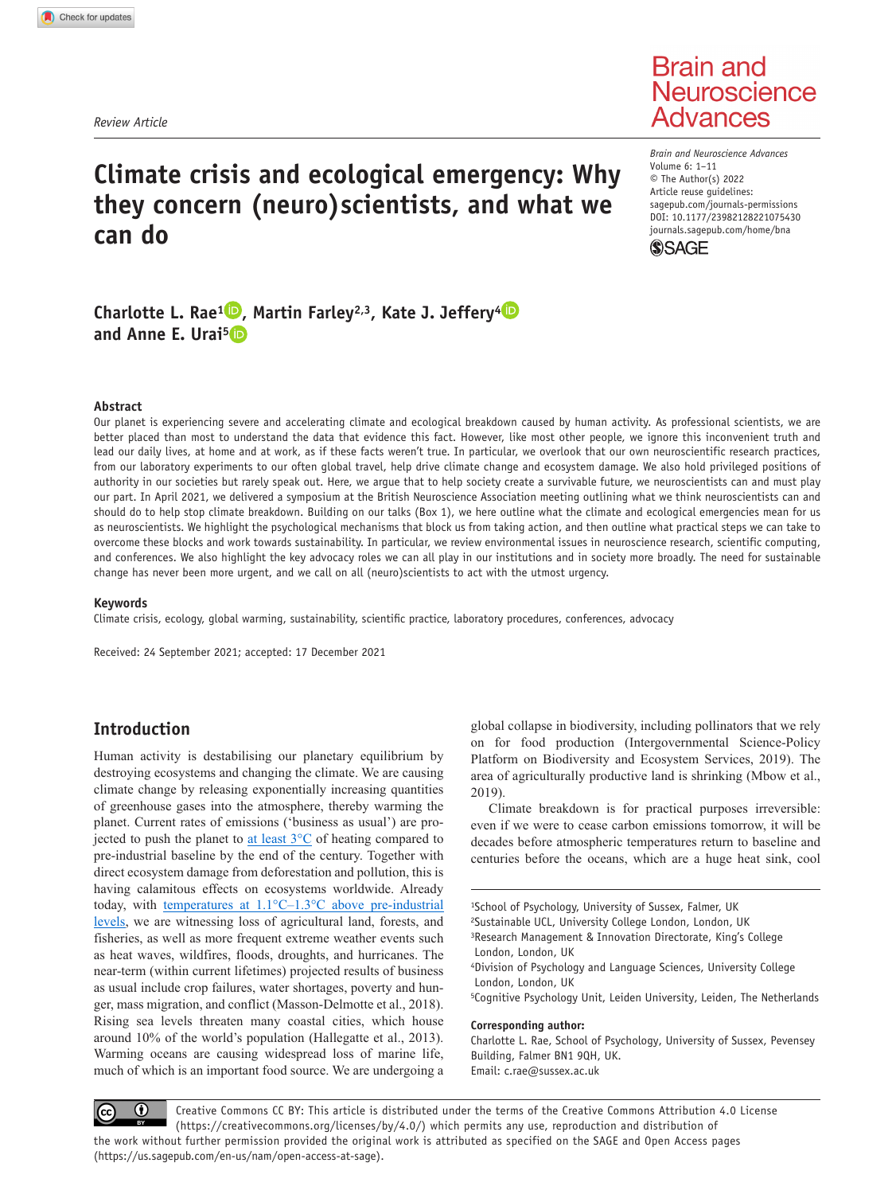*Review Article*

# **Brain and** Neuroscience **Advances**

# **Climate crisis and ecological emergency: Why they concern (neuro)scientists, and what we can do**

DOI: 10.1177/23982128221075430 *Brain and Neuroscience Advances* Volume 6: 1–11 © The Author(s) 2022 Article reuse guidelines: [sagepub.com/journals-permissions](https://uk.sagepub.com/en-gb/journals-permissions) [journals.sagepub.com/home/bna](https://journals.sagepub.com/home/bna)



## **Charlotte L. Rae<sup>1</sup> •, Martin Farley<sup>2,3</sup>, Kate J. Jeffery<sup>4</sup> •• and Anne E. Urai5**

#### **Abstract**

Our planet is experiencing severe and accelerating climate and ecological breakdown caused by human activity. As professional scientists, we are better placed than most to understand the data that evidence this fact. However, like most other people, we ignore this inconvenient truth and lead our daily lives, at home and at work, as if these facts weren't true. In particular, we overlook that our own neuroscientific research practices, from our laboratory experiments to our often global travel, help drive climate change and ecosystem damage. We also hold privileged positions of authority in our societies but rarely speak out. Here, we argue that to help society create a survivable future, we neuroscientists can and must play our part. In April 2021, we delivered a symposium at the British Neuroscience Association meeting outlining what we think neuroscientists can and should do to help stop climate breakdown. Building on our talks (Box 1), we here outline what the climate and ecological emergencies mean for us as neuroscientists. We highlight the psychological mechanisms that block us from taking action, and then outline what practical steps we can take to overcome these blocks and work towards sustainability. In particular, we review environmental issues in neuroscience research, scientific computing, and conferences. We also highlight the key advocacy roles we can all play in our institutions and in society more broadly. The need for sustainable change has never been more urgent, and we call on all (neuro)scientists to act with the utmost urgency.

#### **Keywords**

Climate crisis, ecology, global warming, sustainability, scientific practice, laboratory procedures, conferences, advocacy

Received: 24 September 2021; accepted: 17 December 2021

## **Introduction**

Human activity is destabilising our planetary equilibrium by destroying ecosystems and changing the climate. We are causing climate change by releasing exponentially increasing quantities of greenhouse gases into the atmosphere, thereby warming the planet. Current rates of emissions ('business as usual') are projected to push the planet to at least  $3^{\circ}$ C of heating compared to pre-industrial baseline by the end of the century. Together with direct ecosystem damage from deforestation and pollution, this is having calamitous effects on ecosystems worldwide. Already today, with [temperatures at 1.1°C–1.3°C above pre-industrial](https://www.ipcc.ch/2021/08/09/ar6-wg1-20210809-pr/) [levels](https://www.ipcc.ch/2021/08/09/ar6-wg1-20210809-pr/), we are witnessing loss of agricultural land, forests, and fisheries, as well as more frequent extreme weather events such as heat waves, wildfires, floods, droughts, and hurricanes. The near-term (within current lifetimes) projected results of business as usual include crop failures, water shortages, poverty and hunger, mass migration, and conflict (Masson-Delmotte et al., 2018). Rising sea levels threaten many coastal cities, which house around 10% of the world's population (Hallegatte et al., 2013). Warming oceans are causing widespread loss of marine life, much of which is an important food source. We are undergoing a global collapse in biodiversity, including pollinators that we rely on for food production (Intergovernmental Science-Policy Platform on Biodiversity and Ecosystem Services, 2019). The area of agriculturally productive land is shrinking (Mbow et al., 2019).

Climate breakdown is for practical purposes irreversible: even if we were to cease carbon emissions tomorrow, it will be decades before atmospheric temperatures return to baseline and centuries before the oceans, which are a huge heat sink, cool

1School of Psychology, University of Sussex, Falmer, UK 2Sustainable UCL, University College London, London, UK 3Research Management & Innovation Directorate, King's College London, London, UK 4Division of Psychology and Language Sciences, University College London, London, UK 5Cognitive Psychology Unit, Leiden University, Leiden, The Netherlands **Corresponding author:**

Charlotte L. Rae, School of Psychology, University of Sussex, Pevensey Building, Falmer BN1 9QH, UK. Email: [c.rae@sussex.ac.uk](mailto:c.rae@sussex.ac.uk)

 $\bf \odot$ Creative Commons CC BY: This article is distributed under the terms of the Creative Commons Attribution 4.0 License (https://creativecommons.org/licenses/by/4.0/) which permits any use, reproduction and distribution of the work without further permission provided the original work is attributed as specified on the SAGE and Open Access pages (https://us.sagepub.com/en-us/nam/open-access-at-sage).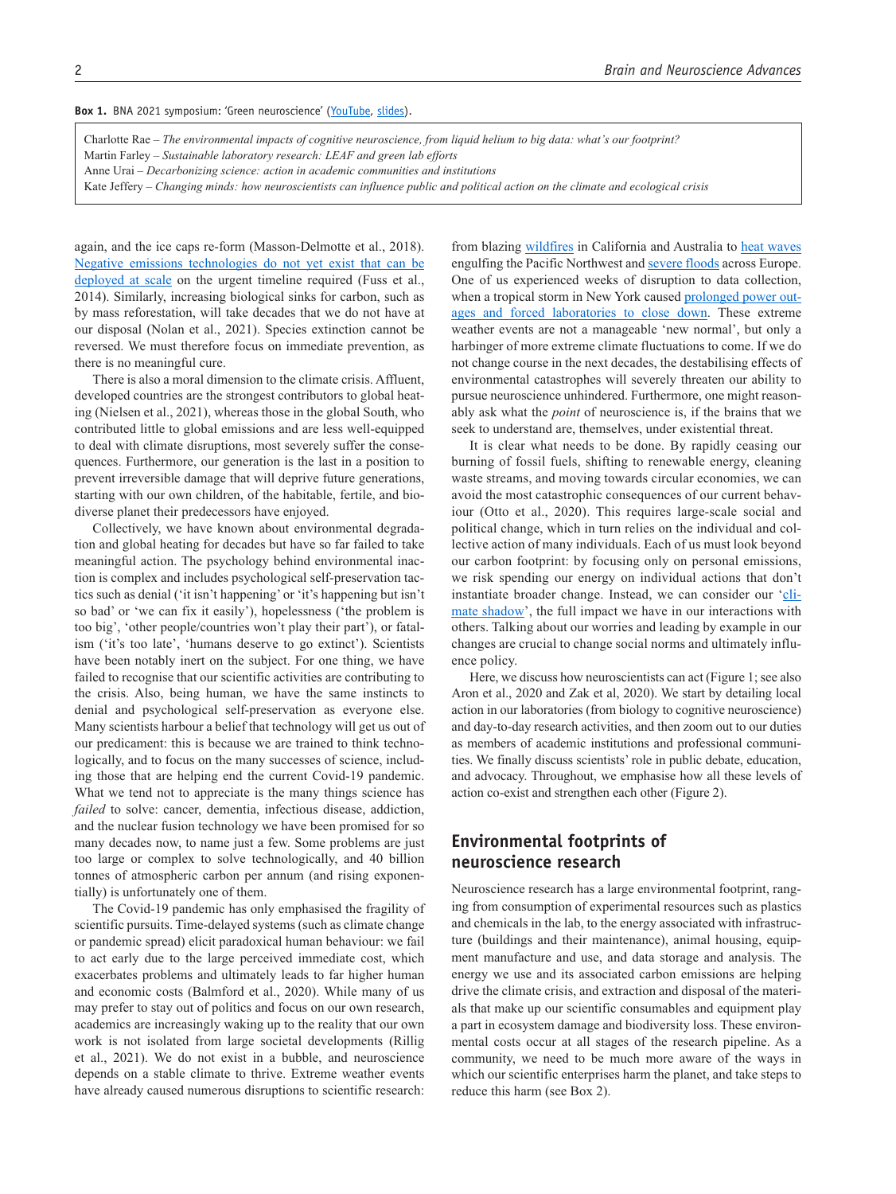Box 1. BNA 2021 symposium: 'Green neuroscience' [\(YouTube](https://www.youtube.com/watch?v=cGgwXmMiGLU), [slides\)](https://anneurai.net/green-neuroscience/).

Charlotte Rae – *The environmental impacts of cognitive neuroscience, from liquid helium to big data: what's our footprint?*

Martin Farley – *Sustainable laboratory research: LEAF and green lab efforts*

- Anne Urai *Decarbonizing science: action in academic communities and institutions*
- Kate Jeffery *Changing minds: how neuroscientists can influence public and political action on the climate and ecological crisis*

again, and the ice caps re-form (Masson-Delmotte et al., 2018). [Negative emissions technologies do not yet exist that can be](https://www.nature.com/articles/d41586-018-02184-x) [deployed at scale](https://www.nature.com/articles/d41586-018-02184-x) on the urgent timeline required (Fuss et al., 2014). Similarly, increasing biological sinks for carbon, such as by mass reforestation, will take decades that we do not have at our disposal (Nolan et al., 2021). Species extinction cannot be reversed. We must therefore focus on immediate prevention, as there is no meaningful cure.

There is also a moral dimension to the climate crisis. Affluent, developed countries are the strongest contributors to global heating (Nielsen et al., 2021), whereas those in the global South, who contributed little to global emissions and are less well-equipped to deal with climate disruptions, most severely suffer the consequences. Furthermore, our generation is the last in a position to prevent irreversible damage that will deprive future generations, starting with our own children, of the habitable, fertile, and biodiverse planet their predecessors have enjoyed.

Collectively, we have known about environmental degradation and global heating for decades but have so far failed to take meaningful action. The psychology behind environmental inaction is complex and includes psychological self-preservation tactics such as denial ('it isn't happening' or 'it's happening but isn't so bad' or 'we can fix it easily'), hopelessness ('the problem is too big', 'other people/countries won't play their part'), or fatalism ('it's too late', 'humans deserve to go extinct'). Scientists have been notably inert on the subject. For one thing, we have failed to recognise that our scientific activities are contributing to the crisis. Also, being human, we have the same instincts to denial and psychological self-preservation as everyone else. Many scientists harbour a belief that technology will get us out of our predicament: this is because we are trained to think technologically, and to focus on the many successes of science, including those that are helping end the current Covid-19 pandemic. What we tend not to appreciate is the many things science has *failed* to solve: cancer, dementia, infectious disease, addiction, and the nuclear fusion technology we have been promised for so many decades now, to name just a few. Some problems are just too large or complex to solve technologically, and 40 billion tonnes of atmospheric carbon per annum (and rising exponentially) is unfortunately one of them.

The Covid-19 pandemic has only emphasised the fragility of scientific pursuits. Time-delayed systems (such as climate change or pandemic spread) elicit paradoxical human behaviour: we fail to act early due to the large perceived immediate cost, which exacerbates problems and ultimately leads to far higher human and economic costs (Balmford et al., 2020). While many of us may prefer to stay out of politics and focus on our own research, academics are increasingly waking up to the reality that our own work is not isolated from large societal developments (Rillig et al., 2021). We do not exist in a bubble, and neuroscience depends on a stable climate to thrive. Extreme weather events have already caused numerous disruptions to scientific research:

from blazing [wildfires](https://www.universityofcalifornia.edu/news/ucs-race-stay-ahead-wildfires) in California and Australia to [heat waves](https://www.theatlantic.com/science/archive/2021/06/portland-seattle-heatwave-warning/619313/) engulfing the Pacific Northwest and [severe floods](https://massivesci.com/notes/germany-floods-climate-change-rainfall/) across Europe. One of us experienced weeks of disruption to data collection, when a tropical storm in New York caused [prolonged power out](https://www.cshl.edu/cshl-works-to-improve-communication-with-pseg-on-outages/)[ages and forced laboratories to close down](https://www.cshl.edu/cshl-works-to-improve-communication-with-pseg-on-outages/). These extreme weather events are not a manageable 'new normal', but only a harbinger of more extreme climate fluctuations to come. If we do not change course in the next decades, the destabilising effects of environmental catastrophes will severely threaten our ability to pursue neuroscience unhindered. Furthermore, one might reasonably ask what the *point* of neuroscience is, if the brains that we seek to understand are, themselves, under existential threat.

It is clear what needs to be done. By rapidly ceasing our burning of fossil fuels, shifting to renewable energy, cleaning waste streams, and moving towards circular economies, we can avoid the most catastrophic consequences of our current behaviour (Otto et al., 2020). This requires large-scale social and political change, which in turn relies on the individual and collective action of many individuals. Each of us must look beyond our carbon footprint: by focusing only on personal emissions, we risk spending our energy on individual actions that don't instantiate broader change. Instead, we can consider our '[cli](https://www.mic.com/impact/forget-your-carbon-footprint-lets-talk-about-your-climate-shadow)[mate shadow'](https://www.mic.com/impact/forget-your-carbon-footprint-lets-talk-about-your-climate-shadow), the full impact we have in our interactions with others. Talking about our worries and leading by example in our changes are crucial to change social norms and ultimately influence policy.

Here, we discuss how neuroscientists can act (Figure 1; see also Aron et al., 2020 and Zak et al, 2020). We start by detailing local action in our laboratories (from biology to cognitive neuroscience) and day-to-day research activities, and then zoom out to our duties as members of academic institutions and professional communities. We finally discuss scientists' role in public debate, education, and advocacy. Throughout, we emphasise how all these levels of action co-exist and strengthen each other (Figure 2).

## **Environmental footprints of neuroscience research**

Neuroscience research has a large environmental footprint, ranging from consumption of experimental resources such as plastics and chemicals in the lab, to the energy associated with infrastructure (buildings and their maintenance), animal housing, equipment manufacture and use, and data storage and analysis. The energy we use and its associated carbon emissions are helping drive the climate crisis, and extraction and disposal of the materials that make up our scientific consumables and equipment play a part in ecosystem damage and biodiversity loss. These environmental costs occur at all stages of the research pipeline. As a community, we need to be much more aware of the ways in which our scientific enterprises harm the planet, and take steps to reduce this harm (see Box 2).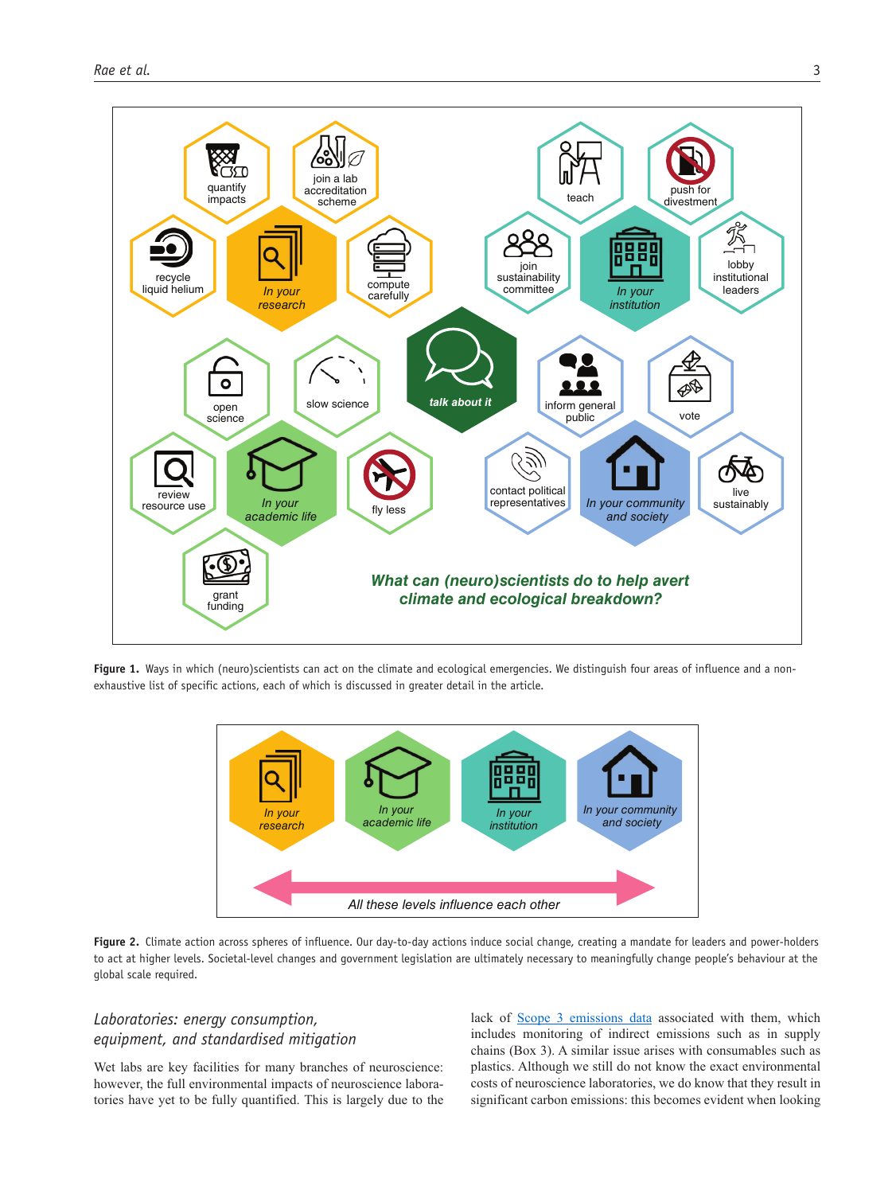

Fiqure 1. Ways in which (neuro)scientists can act on the climate and ecological emergencies. We distinguish four areas of influence and a nonexhaustive list of specific actions, each of which is discussed in greater detail in the article.



Figure 2. Climate action across spheres of influence. Our day-to-day actions induce social change, creating a mandate for leaders and power-holders to act at higher levels. Societal-level changes and government legislation are ultimately necessary to meaningfully change people's behaviour at the global scale required.

## *Laboratories: energy consumption, equipment, and standardised mitigation*

Wet labs are key facilities for many branches of neuroscience: however, the full environmental impacts of neuroscience laboratories have yet to be fully quantified. This is largely due to the lack of S[cope 3 emissions data](https://www.carbontrust.com/resources/briefing-what-are-scope-3-emissions) associated with them, which includes monitoring of indirect emissions such as in supply chains (Box 3). A similar issue arises with consumables such as plastics. Although we still do not know the exact environmental costs of neuroscience laboratories, we do know that they result in significant carbon emissions: this becomes evident when looking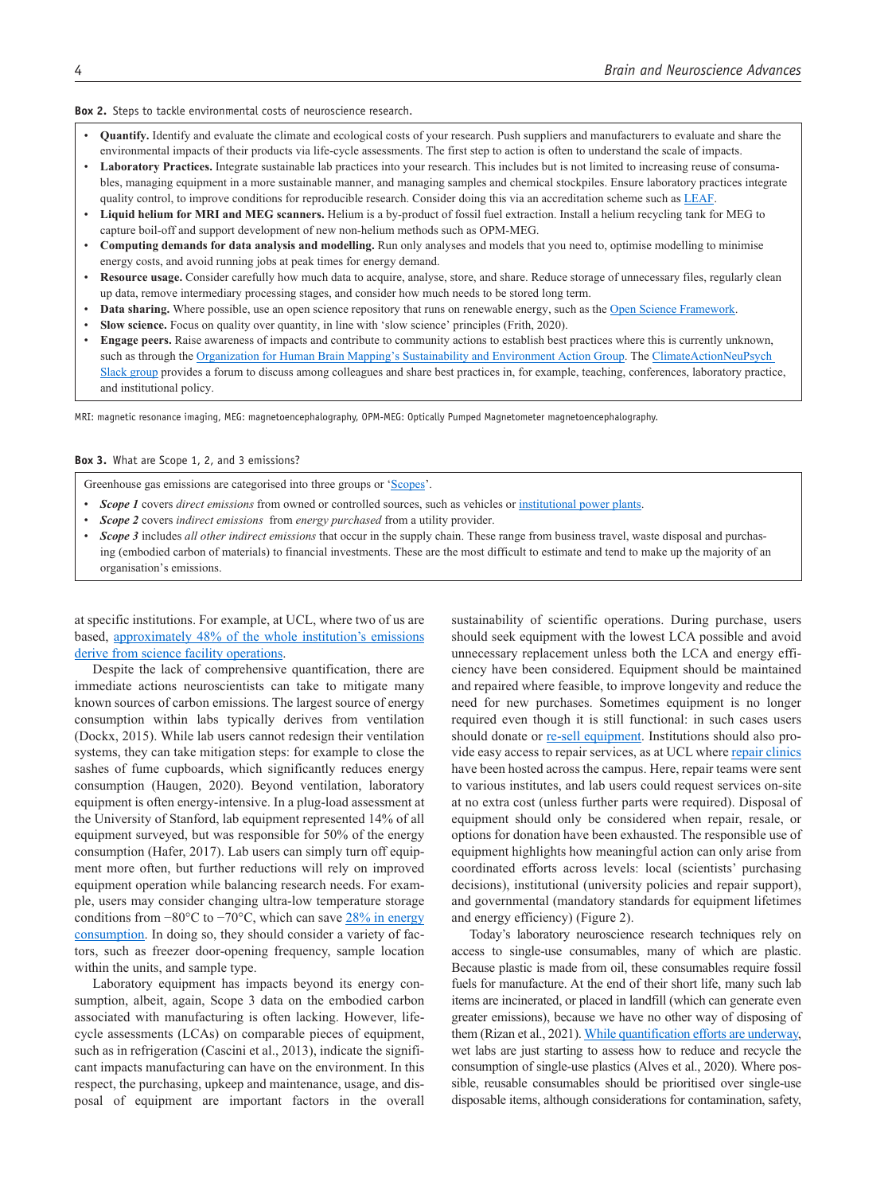#### **Box 2.** Steps to tackle environmental costs of neuroscience research.

- • **Quantify.** Identify and evaluate the climate and ecological costs of your research. Push suppliers and manufacturers to evaluate and share the environmental impacts of their products via life-cycle assessments. The first step to action is often to understand the scale of impacts.
- Laboratory Practices. Integrate sustainable lab practices into your research. This includes but is not limited to increasing reuse of consumables, managing equipment in a more sustainable manner, and managing samples and chemical stockpiles. Ensure laboratory practices integrate quality control, to improve conditions for reproducible research. Consider doing this via an accreditation scheme such as [LEAF.](https://www.ucl.ac.uk/sustainable/staff/leaf)
- • **Liquid helium for MRI and MEG scanners.** Helium is a by-product of fossil fuel extraction. Install a helium recycling tank for MEG to capture boil-off and support development of new non-helium methods such as OPM-MEG.
- • **Computing demands for data analysis and modelling.** Run only analyses and models that you need to, optimise modelling to minimise energy costs, and avoid running jobs at peak times for energy demand.
- • **Resource usage.** Consider carefully how much data to acquire, analyse, store, and share. Reduce storage of unnecessary files, regularly clean up data, remove intermediary processing stages, and consider how much needs to be stored long term.
- **Data sharing.** Where possible, use an open science repository that runs on renewable energy, such as the [Open Science Framework.](https://osf.io/)
- **Slow science.** Focus on quality over quantity, in line with 'slow science' principles (Frith, 2020).
- **Engage peers.** Raise awareness of impacts and contribute to community actions to establish best practices where this is currently unknown, such as through the [Organization for Human Brain Mapping's Sustainability and Environment Action Group](https://ohbm-environment.org/). The ClimateActionNeuPsych [Slack group](https://t.co/mb5g64XH0P?amp=1) provides a forum to discuss among colleagues and share best practices in, for example, teaching, conferences, laboratory practice, and institutional policy.

MRI: magnetic resonance imaging, MEG: magnetoencephalography, OPM-MEG: Optically Pumped Magnetometer magnetoencephalography.

#### **Box 3.** What are Scope 1, 2, and 3 emissions?

Greenhouse gas emissions are categorised into three groups or ['Scopes'](https://www.esganalytics.io/insights/what-are-scope-1-2-and-3-carbon-emissions).

- *Scope 1* covers *direct emissions* from owned or controlled sources, such as vehicles or [institutional power plants](http://bit.ly/newenergyplan).
- *Scope 2* covers *indirect emissions* from *energy purchased* from a utility provider.
- *Scope 3* includes *all other indirect emissions* that occur in the supply chain. These range from business travel, waste disposal and purchasing (embodied carbon of materials) to financial investments. These are the most difficult to estimate and tend to make up the majority of an organisation's emissions.

at specific institutions. For example, at UCL, where two of us are based, [approximately 48% of the whole institution's emissions](https://www.ucl.ac.uk/sustainable/sites/sustainable/files/sustainable_ucl_annual_report_2019-20.pdf) [derive from science facility operations](https://www.ucl.ac.uk/sustainable/sites/sustainable/files/sustainable_ucl_annual_report_2019-20.pdf).

Despite the lack of comprehensive quantification, there are immediate actions neuroscientists can take to mitigate many known sources of carbon emissions. The largest source of energy consumption within labs typically derives from ventilation (Dockx, 2015). While lab users cannot redesign their ventilation systems, they can take mitigation steps: for example to close the sashes of fume cupboards, which significantly reduces energy consumption (Haugen, 2020). Beyond ventilation, laboratory equipment is often energy-intensive. In a plug-load assessment at the University of Stanford, lab equipment represented 14% of all equipment surveyed, but was responsible for 50% of the energy consumption (Hafer, 2017). Lab users can simply turn off equipment more often, but further reductions will rely on improved equipment operation while balancing research needs. For example, users may consider changing ultra-low temperature storage conditions from −80°C to −70°C, which can save [28% in energy](https://www.ed.ac.uk/files/atoms/files/efficient_ult_freezer_storage.pdf) [consumption](https://www.ed.ac.uk/files/atoms/files/efficient_ult_freezer_storage.pdf). In doing so, they should consider a variety of factors, such as freezer door-opening frequency, sample location within the units, and sample type.

Laboratory equipment has impacts beyond its energy consumption, albeit, again, Scope 3 data on the embodied carbon associated with manufacturing is often lacking. However, lifecycle assessments (LCAs) on comparable pieces of equipment, such as in refrigeration (Cascini et al., 2013), indicate the significant impacts manufacturing can have on the environment. In this respect, the purchasing, upkeep and maintenance, usage, and disposal of equipment are important factors in the overall sustainability of scientific operations. During purchase, users should seek equipment with the lowest LCA possible and avoid unnecessary replacement unless both the LCA and energy efficiency have been considered. Equipment should be maintained and repaired where feasible, to improve longevity and reduce the need for new purchases. Sometimes equipment is no longer required even though it is still functional: in such cases users should donate or [re-sell equipment](https://www.unigreenscheme.co.uk/). Institutions should also provide easy access to repair services, as at UCL where [repair clinics](https://www.ucl.ac.uk/sustainable/events/2020/feb/lab-repair-clinic) have been hosted across the campus. Here, repair teams were sent to various institutes, and lab users could request services on-site at no extra cost (unless further parts were required). Disposal of equipment should only be considered when repair, resale, or options for donation have been exhausted. The responsible use of equipment highlights how meaningful action can only arise from coordinated efforts across levels: local (scientists' purchasing decisions), institutional (university policies and repair support), and governmental (mandatory standards for equipment lifetimes and energy efficiency) (Figure 2).

Today's laboratory neuroscience research techniques rely on access to single-use consumables, many of which are plastic. Because plastic is made from oil, these consumables require fossil fuels for manufacture. At the end of their short life, many such lab items are incinerated, or placed in landfill (which can generate even greater emissions), because we have no other way of disposing of them (Rizan et al., 2021). [While quantification efforts are underway,](https://naei.beis.gov.uk/data/ef-all) wet labs are just starting to assess how to reduce and recycle the consumption of single-use plastics (Alves et al., 2020). Where possible, reusable consumables should be prioritised over single-use disposable items, although considerations for contamination, safety,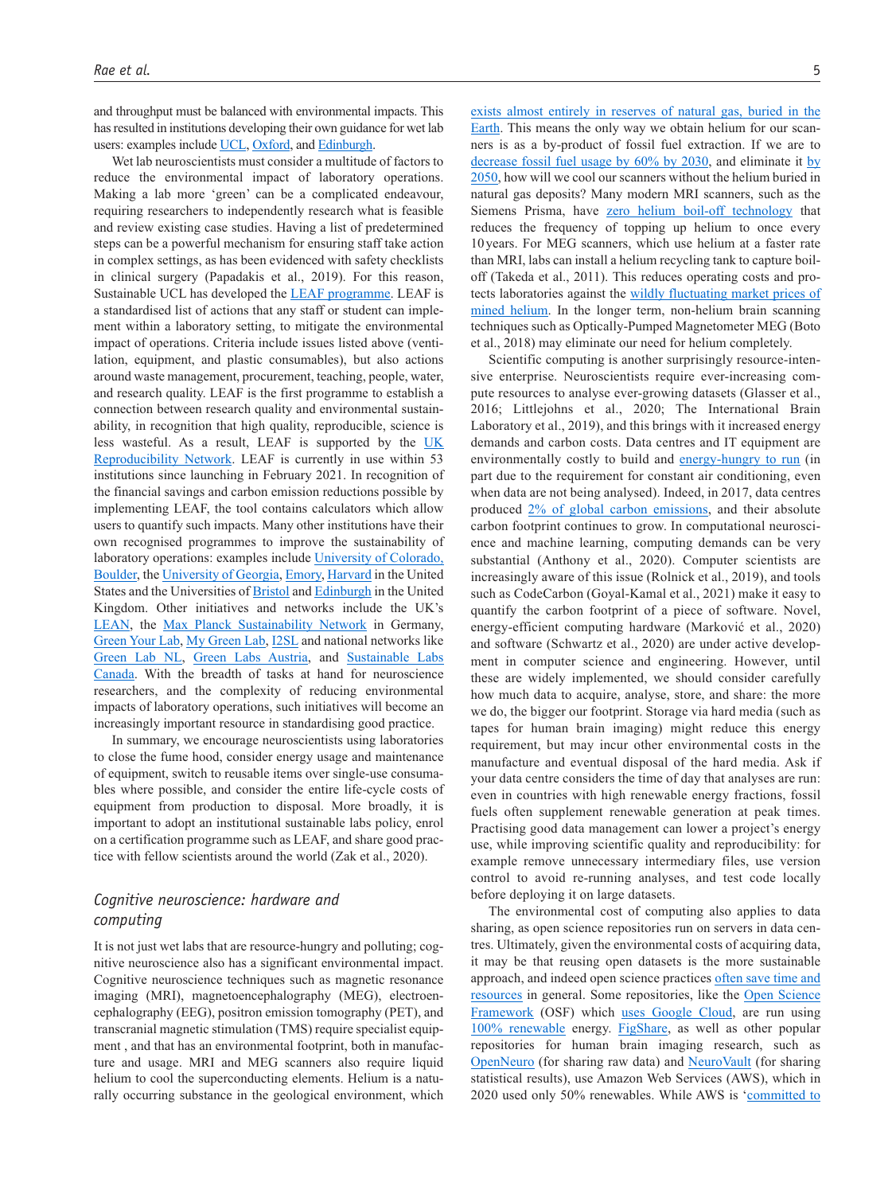and throughput must be balanced with environmental impacts. This has resulted in institutions developing their own guidance for wet lab users: examples include [UCL,](https://www.ucl.ac.uk/sustainable/file/5567) [Oxford,](https://sustainability.admin.ox.ac.uk/files/plasticreductionguidanceforlabs.pdf) and [Edinburgh.](https://www.ed.ac.uk/files/atoms/files/reducing_single-use_laboratory_plastics_0.pdf)

Wet lab neuroscientists must consider a multitude of factors to reduce the environmental impact of laboratory operations. Making a lab more 'green' can be a complicated endeavour, requiring researchers to independently research what is feasible and review existing case studies. Having a list of predetermined steps can be a powerful mechanism for ensuring staff take action in complex settings, as has been evidenced with safety checklists in clinical surgery (Papadakis et al., 2019). For this reason, Sustainable UCL has developed the [LEAF programme.](https://www.ucl.ac.uk/sustainable/staff/leaf) LEAF is a standardised list of actions that any staff or student can implement within a laboratory setting, to mitigate the environmental impact of operations. Criteria include issues listed above (ventilation, equipment, and plastic consumables), but also actions around waste management, procurement, teaching, people, water, and research quality. LEAF is the first programme to establish a connection between research quality and environmental sustainability, in recognition that high quality, reproducible, science is less wasteful. As a result, LEAF is supported by the [UK](https://www.ukrn.org/)  [Reproducibility Network](https://www.ukrn.org/). LEAF is currently in use within 53 institutions since launching in February 2021. In recognition of the financial savings and carbon emission reductions possible by implementing LEAF, the tool contains calculators which allow users to quantify such impacts. Many other institutions have their own recognised programmes to improve the sustainability of laboratory operations: examples include [University of Colorado,](https://www.colorado.edu/ecenter/greenlabs) [Boulder](https://www.colorado.edu/ecenter/greenlabs), the [University of Georgia,](https://greenlab.uga.edu/) [Emory,](https://sustainability.emory.edu/programs/green-labs-at-emory/) [Harvard](https://green.harvard.edu/programs/green-labs) in the United States and the Universities of [Bristol](http://www.bristol.ac.uk/green/doing/labs/) and [Edinburgh](https://www.ed.ac.uk/sustainability/what-we-do/laboratories) in the United Kingdom. Other initiatives and networks include the UK's [LEAN](https://www.lean-science.org/), the [Max Planck Sustainability Network](https://www.nachhaltigkeitsnetzwerk.mpg.de/) in Germany, [Green Your Lab,](https://greenyourlab.discourse.group/) [My Green Lab](https://www.mygreenlab.org/), [I2SL](https://www.i2sl.org/) and national networks like [Green Lab NL](https://www.greenlabs-nl.eu/), [Green Labs Austria,](https://greenlabsaustria.at/) and [Sustainable Labs](https://slcan.ca/) [Canada](https://slcan.ca/). With the breadth of tasks at hand for neuroscience researchers, and the complexity of reducing environmental impacts of laboratory operations, such initiatives will become an increasingly important resource in standardising good practice.

In summary, we encourage neuroscientists using laboratories to close the fume hood, consider energy usage and maintenance of equipment, switch to reusable items over single-use consumables where possible, and consider the entire life-cycle costs of equipment from production to disposal. More broadly, it is important to adopt an institutional sustainable labs policy, enrol on a certification programme such as LEAF, and share good practice with fellow scientists around the world (Zak et al., 2020).

## *Cognitive neuroscience: hardware and computing*

It is not just wet labs that are resource-hungry and polluting; cognitive neuroscience also has a significant environmental impact. Cognitive neuroscience techniques such as magnetic resonance imaging (MRI), magnetoencephalography (MEG), electroencephalography (EEG), positron emission tomography (PET), and transcranial magnetic stimulation (TMS) require specialist equipment , and that has an environmental footprint, both in manufacture and usage. MRI and MEG scanners also require liquid helium to cool the superconducting elements. Helium is a naturally occurring substance in the geological environment, which

[exists almost entirely in reserves of natural gas, buried in the](https://lbnmedical.com/liquid-helium-in-mri-machine/)  [Earth.](https://lbnmedical.com/liquid-helium-in-mri-machine/) This means the only way we obtain helium for our scanners is as a by-product of fossil fuel extraction. If we are to [decrease fossil fuel usage by 60% by 2030](https://www.ipcc.ch/site/assets/uploads/sites/2/2019/05/SR15_SPM_version_report_LR.pdf), and eliminate it [by](https://www.ipcc.ch/site/assets/uploads/sites/2/2019/05/SR15_SPM_version_report_LR.pdf)  [2050](https://www.ipcc.ch/site/assets/uploads/sites/2/2019/05/SR15_SPM_version_report_LR.pdf), how will we cool our scanners without the helium buried in natural gas deposits? Many modern MRI scanners, such as the Siemens Prisma, have [zero helium boil-off technology](https://cdn0.scrvt.com/39b415fb07de4d9656c7b516d8e2d907/1800000001114614/8cb1fac3d98d/siemens-healthineers-Magnetom_Prisma_EnvironmentalProductDeclaration.pdf) that reduces the frequency of topping up helium to once every 10 years. For MEG scanners, which use helium at a faster rate than MRI, labs can install a helium recycling tank to capture boiloff (Takeda et al., 2011). This reduces operating costs and protects laboratories against the [wildly fluctuating market prices of](https://cen.acs.org/articles/93/i30/Helium-Prices-Rise-Universities-Consider.html)  [mined helium](https://cen.acs.org/articles/93/i30/Helium-Prices-Rise-Universities-Consider.html). In the longer term, non-helium brain scanning techniques such as Optically-Pumped Magnetometer MEG (Boto et al., 2018) may eliminate our need for helium completely.

Scientific computing is another surprisingly resource-intensive enterprise. Neuroscientists require ever-increasing compute resources to analyse ever-growing datasets (Glasser et al., 2016; Littlejohns et al., 2020; The International Brain Laboratory et al., 2019), and this brings with it increased energy demands and carbon costs. Data centres and IT equipment are environmentally costly to build and [energy-hungry to run](https://e360.yale.edu/features/energy-hogs-can-huge-data-centers-be-made-more-efficient) (in part due to the requirement for constant air conditioning, even when data are not being analysed). Indeed, in 2017, data centres produced [2% of global carbon emissions,](https://www.mdpi.com/1996-1073/10/10/1470) and their absolute carbon footprint continues to grow. In computational neuroscience and machine learning, computing demands can be very substantial (Anthony et al., 2020). Computer scientists are increasingly aware of this issue (Rolnick et al., 2019), and tools such as CodeCarbon (Goyal-Kamal et al., 2021) make it easy to quantify the carbon footprint of a piece of software. Novel, energy-efficient computing hardware (Marković et al., 2020) and software (Schwartz et al., 2020) are under active development in computer science and engineering. However, until these are widely implemented, we should consider carefully how much data to acquire, analyse, store, and share: the more we do, the bigger our footprint. Storage via hard media (such as tapes for human brain imaging) might reduce this energy requirement, but may incur other environmental costs in the manufacture and eventual disposal of the hard media. Ask if your data centre considers the time of day that analyses are run: even in countries with high renewable energy fractions, fossil fuels often supplement renewable generation at peak times. Practising good data management can lower a project's energy use, while improving scientific quality and reproducibility: for example remove unnecessary intermediary files, use version control to avoid re-running analyses, and test code locally before deploying it on large datasets.

The environmental cost of computing also applies to data sharing, as open science repositories run on servers in data centres. Ultimately, given the environmental costs of acquiring data, it may be that reusing open datasets is the more sustainable approach, and indeed open science practices [often save time and](https://osf.io/abt8q/)  [resources](https://osf.io/abt8q/) in general. Some repositories, like the Open Science Framework (OSF) which [uses Google Cloud,](https://help.osf.io/hc/en-us/articles/360019737894) are run using [100% renewable](https://www.google.com/about/datacenters/renewable/) energy. [FigShare,](https://figshare.com/) as well as other popular repositories for human brain imaging research, such as [OpenNeuro](https://openneuro.org/) (for sharing raw data) and [NeuroVault](https://neurovault.org/) (for sharing statistical results), use Amazon Web Services (AWS), which in 2020 used only 50% renewables. While AWS is '[committed to](https://sustainability.aboutamazon.com/environment/the-cloud?energyType=true)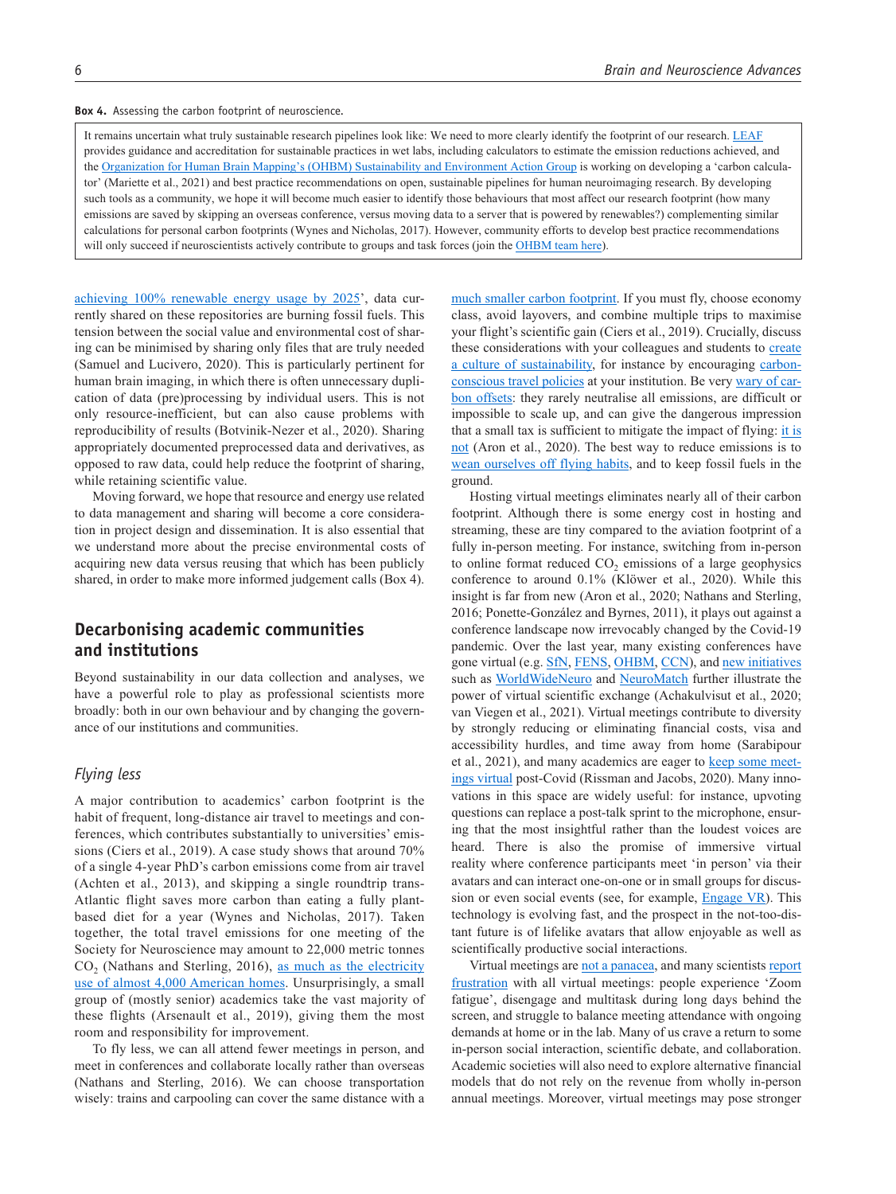**Box 4.** Assessing the carbon footprint of neuroscience.

It remains uncertain what truly sustainable research pipelines look like: We need to more clearly identify the footprint of our research. [LEAF](https://www.ucl.ac.uk/sustainable/staff/leaf) provides guidance and accreditation for sustainable practices in wet labs, including calculators to estimate the emission reductions achieved, and the [Organization for Human Brain Mapping's \(OHBM\) Sustainability and Environment Action Group](https://ohbm-environment.org/) is working on developing a 'carbon calculator' (Mariette et al., 2021) and best practice recommendations on open, sustainable pipelines for human neuroimaging research. By developing such tools as a community, we hope it will become much easier to identify those behaviours that most affect our research footprint (how many emissions are saved by skipping an overseas conference, versus moving data to a server that is powered by renewables?) complementing similar calculations for personal carbon footprints (Wynes and Nicholas, 2017). However, community efforts to develop best practice recommendations will only succeed if neuroscientists actively contribute to groups and task forces (join the [OHBM team here](https://ohbm-environment.org/neuroimaging-research-pipelines-group/)).

[achieving 100% renewable energy usage by 2025'](https://sustainability.aboutamazon.com/environment/the-cloud?energyType=true), data currently shared on these repositories are burning fossil fuels. This tension between the social value and environmental cost of sharing can be minimised by sharing only files that are truly needed (Samuel and Lucivero, 2020). This is particularly pertinent for human brain imaging, in which there is often unnecessary duplication of data (pre)processing by individual users. This is not only resource-inefficient, but can also cause problems with reproducibility of results (Botvinik-Nezer et al., 2020). Sharing appropriately documented preprocessed data and derivatives, as opposed to raw data, could help reduce the footprint of sharing, while retaining scientific value.

Moving forward, we hope that resource and energy use related to data management and sharing will become a core consideration in project design and dissemination. It is also essential that we understand more about the precise environmental costs of acquiring new data versus reusing that which has been publicly shared, in order to make more informed judgement calls (Box 4).

## **Decarbonising academic communities and institutions**

Beyond sustainability in our data collection and analyses, we have a powerful role to play as professional scientists more broadly: both in our own behaviour and by changing the governance of our institutions and communities.

## *Flying less*

A major contribution to academics' carbon footprint is the habit of frequent, long-distance air travel to meetings and conferences, which contributes substantially to universities' emissions (Ciers et al., 2019). A case study shows that around 70% of a single 4-year PhD's carbon emissions come from air travel (Achten et al., 2013), and skipping a single roundtrip trans-Atlantic flight saves more carbon than eating a fully plantbased diet for a year (Wynes and Nicholas, 2017). Taken together, the total travel emissions for one meeting of the Society for Neuroscience may amount to 22,000 metric tonnes CO<sub>2</sub> (Nathans and Sterling, 2016), [as much as the electricity](https://www.epa.gov/energy/greenhouse-gas-equivalencies-calculator) [use of almost 4,000 American homes.](https://www.epa.gov/energy/greenhouse-gas-equivalencies-calculator) Unsurprisingly, a small group of (mostly senior) academics take the vast majority of these flights (Arsenault et al., 2019), giving them the most room and responsibility for improvement.

To fly less, we can all attend fewer meetings in person, and meet in conferences and collaborate locally rather than overseas (Nathans and Sterling, 2016). We can choose transportation wisely: trains and carpooling can cover the same distance with a

[much smaller carbon footprint.](http://www.ecopassenger.org/) If you must fly, choose economy class, avoid layovers, and combine multiple trips to maximise your flight's scientific gain (Ciers et al., 2019). Crucially, discuss these considerations with your colleagues and students to create [a culture of sustainability,](https://www.universiteitleiden.nl/en/social-behavioural-sciences/psychology/cognitive-psychology) for instance by encouraging [carbon](https://unter1000.scientists4future.org/)[conscious travel policies](https://unter1000.scientists4future.org/) at your institution. Be very [wary of car](https://features.propublica.org/brazil-carbon-offsets/inconvenient-truth-carbon-credits-dont-work-deforestation-redd-acre-cambodia/)[bon offsets:](https://features.propublica.org/brazil-carbon-offsets/inconvenient-truth-carbon-credits-dont-work-deforestation-redd-acre-cambodia/) they rarely neutralise all emissions, are difficult or impossible to scale up, and can give the dangerous impression that a small tax is sufficient to mitigate the impact of flying: [it is](https://www.theguardian.com/environment/2021/sep/06/climate-crisis-transatlantic-flight-global-economy-gdp)  [not](https://www.theguardian.com/environment/2021/sep/06/climate-crisis-transatlantic-flight-global-economy-gdp) (Aron et al., 2020). The best way to reduce emissions is to [wean ourselves off flying habits](https://docs.google.com/document/d/e/2PACX-1vSLG573KG2YrLhpT8SBgTKNvrEUBtTCN_NBVtdEl8jqHK_vY6MhonM4DeiEoMoh18CdyyfNdxCfp6gp/pub), and to keep fossil fuels in the ground.

Hosting virtual meetings eliminates nearly all of their carbon footprint. Although there is some energy cost in hosting and streaming, these are tiny compared to the aviation footprint of a fully in-person meeting. For instance, switching from in-person to online format reduced  $CO<sub>2</sub>$  emissions of a large geophysics conference to around 0.1% (Klöwer et al., 2020). While this insight is far from new (Aron et al., 2020; Nathans and Sterling, 2016; Ponette-González and Byrnes, 2011), it plays out against a conference landscape now irrevocably changed by the Covid-19 pandemic. Over the last year, many existing conferences have gone virtual (e.g. [SfN,](https://www.sfn.org/meetings/virtual-events/sfn-global-connectome-a-virtual-event) [FENS](https://forum2020.fens.org/), [OHBM](https://www.humanbrainmapping.org/i4a/pages/index.cfm?pageid=4041), [CCN](https://2021.ccneuro.org/)), and [new initiatives](https://www.world-wide.org/Neuro/) such as [WorldWideNeuro](https://www.world-wide.org/Neuro/) and [NeuroMatch](https://academy.neuromatch.io/) further illustrate the power of virtual scientific exchange (Achakulvisut et al., 2020; van Viegen et al., 2021). Virtual meetings contribute to diversity by strongly reducing or eliminating financial costs, visa and accessibility hurdles, and time away from home (Sarabipour et al., 2021), and many academics are eager to [keep some meet](https://www.nature.com/articles/d41586-021-00513-1)[ings virtual](https://www.nature.com/articles/d41586-021-00513-1) post-Covid (Rissman and Jacobs, 2020). Many innovations in this space are widely useful: for instance, upvoting questions can replace a post-talk sprint to the microphone, ensuring that the most insightful rather than the loudest voices are heard. There is also the promise of immersive virtual reality where conference participants meet 'in person' via their avatars and can interact one-on-one or in small groups for discussion or even social events (see, for example, [Engage VR\)](https://engagevr.io/). This technology is evolving fast, and the prospect in the not-too-distant future is of lifelike avatars that allow enjoyable as well as scientifically productive social interactions.

Virtual meetings are [not a panacea](https://twitter.com/neurograce/status/1418172728113238024?s=09), and many scientists report [frustration](https://twitter.com/neurograce/status/1418172728113238024?s=09) with all virtual meetings: people experience 'Zoom fatigue', disengage and multitask during long days behind the screen, and struggle to balance meeting attendance with ongoing demands at home or in the lab. Many of us crave a return to some in-person social interaction, scientific debate, and collaboration. Academic societies will also need to explore alternative financial models that do not rely on the revenue from wholly in-person annual meetings. Moreover, virtual meetings may pose stronger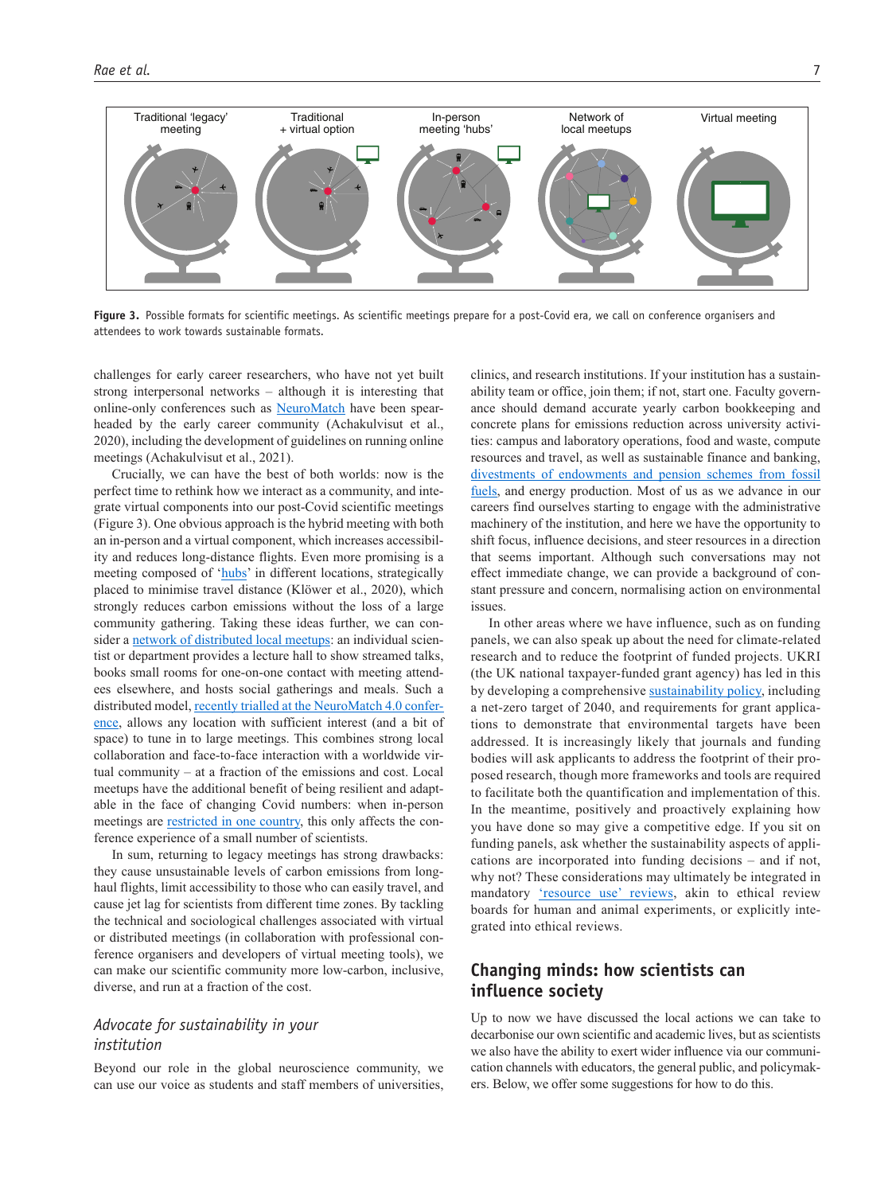

Figure 3. Possible formats for scientific meetings. As scientific meetings prepare for a post-Covid era, we call on conference organisers and attendees to work towards sustainable formats.

challenges for early career researchers, who have not yet built strong interpersonal networks – although it is interesting that online-only conferences such as [NeuroMatch](http://neuromatch.io/) have been spearheaded by the early career community (Achakulvisut et al., 2020), including the development of guidelines on running online meetings (Achakulvisut et al., 2021).

Crucially, we can have the best of both worlds: now is the perfect time to rethink how we interact as a community, and integrate virtual components into our post-Covid scientific meetings (Figure 3). One obvious approach is the hybrid meeting with both an in-person and a virtual component, which increases accessibility and reduces long-distance flights. Even more promising is a meeting composed of ['hubs](https://brainhack.org/global2018/)' in different locations, strategically placed to minimise travel distance (Klöwer et al., 2020), which strongly reduces carbon emissions without the loss of a large community gathering. Taking these ideas further, we can consider a [network of distributed local meetups:](https://brainhack.org/) an individual scientist or department provides a lecture hall to show streamed talks, books small rooms for one-on-one contact with meeting attendees elsewhere, and hosts social gatherings and meals. Such a distributed model, [recently trialled at the NeuroMatch 4.0 confer](https://anneurai.net/2022/01/20/2046/)[ence,](https://anneurai.net/2022/01/20/2046/) allows any location with sufficient interest (and a bit of space) to tune in to large meetings. This combines strong local collaboration and face-to-face interaction with a worldwide virtual community – at a fraction of the emissions and cost. Local meetups have the additional benefit of being resilient and adaptable in the face of changing Covid numbers: when in-person meetings are **restricted** in one country, this only affects the conference experience of a small number of scientists.

In sum, returning to legacy meetings has strong drawbacks: they cause unsustainable levels of carbon emissions from longhaul flights, limit accessibility to those who can easily travel, and cause jet lag for scientists from different time zones. By tackling the technical and sociological challenges associated with virtual or distributed meetings (in collaboration with professional conference organisers and developers of virtual meeting tools), we can make our scientific community more low-carbon, inclusive, diverse, and run at a fraction of the cost.

## *Advocate for sustainability in your institution*

Beyond our role in the global neuroscience community, we can use our voice as students and staff members of universities,

clinics, and research institutions. If your institution has a sustainability team or office, join them; if not, start one. Faculty governance should demand accurate yearly carbon bookkeeping and concrete plans for emissions reduction across university activities: campus and laboratory operations, food and waste, compute resources and travel, as well as sustainable finance and banking, [divestments of endowments and pension schemes from fossil](https://gofossilfree.org/europe/)  [fuels,](https://gofossilfree.org/europe/) and energy production. Most of us as we advance in our careers find ourselves starting to engage with the administrative machinery of the institution, and here we have the opportunity to shift focus, influence decisions, and steer resources in a direction that seems important. Although such conversations may not effect immediate change, we can provide a background of constant pressure and concern, normalising action on environmental issues.

In other areas where we have influence, such as on funding panels, we can also speak up about the need for climate-related research and to reduce the footprint of funded projects. UKRI (the UK national taxpayer-funded grant agency) has led in this by developing a comprehensive [sustainability policy](https://www.ukri.org/wp-content/uploads/2020/10/UKRI-050920-SustainabilityStrategy.pdf), including a net-zero target of 2040, and requirements for grant applications to demonstrate that environmental targets have been addressed. It is increasingly likely that journals and funding bodies will ask applicants to address the footprint of their proposed research, though more frameworks and tools are required to facilitate both the quantification and implementation of this. In the meantime, positively and proactively explaining how you have done so may give a competitive edge. If you sit on funding panels, ask whether the sustainability aspects of applications are incorporated into funding decisions – and if not, why not? These considerations may ultimately be integrated in mandatory ['resource use' reviews,](https://www.sussex.ac.uk/about/sustainable-university/policy-and-strategy/strategy/ethical-educators/sustainable-research-practices) akin to ethical review boards for human and animal experiments, or explicitly integrated into ethical reviews.

## **Changing minds: how scientists can influence society**

Up to now we have discussed the local actions we can take to decarbonise our own scientific and academic lives, but as scientists we also have the ability to exert wider influence via our communication channels with educators, the general public, and policymakers. Below, we offer some suggestions for how to do this.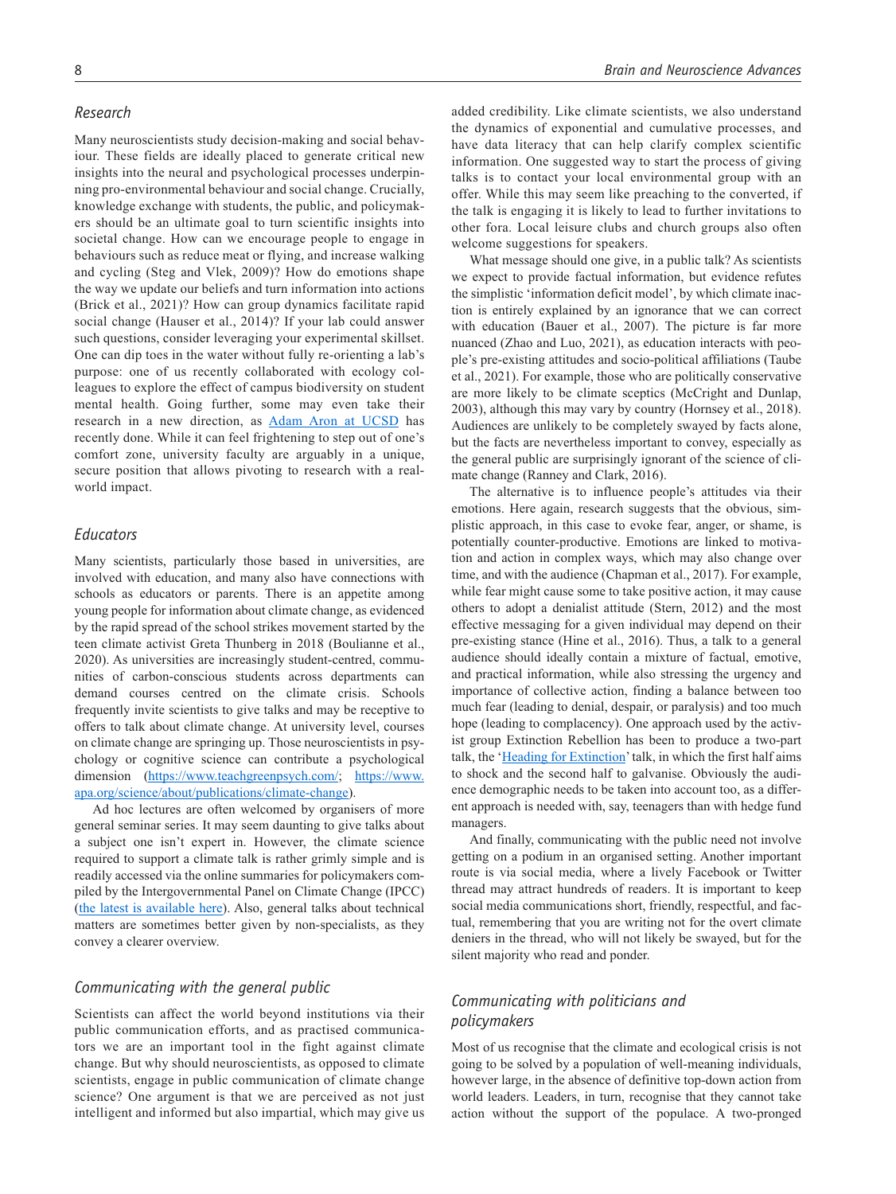#### *Research*

Many neuroscientists study decision-making and social behaviour. These fields are ideally placed to generate critical new insights into the neural and psychological processes underpinning pro-environmental behaviour and social change. Crucially, knowledge exchange with students, the public, and policymakers should be an ultimate goal to turn scientific insights into societal change. How can we encourage people to engage in behaviours such as reduce meat or flying, and increase walking and cycling (Steg and Vlek, 2009)? How do emotions shape the way we update our beliefs and turn information into actions (Brick et al., 2021)? How can group dynamics facilitate rapid social change (Hauser et al., 2014)? If your lab could answer such questions, consider leveraging your experimental skillset. One can dip toes in the water without fully re-orienting a lab's purpose: one of us recently collaborated with ecology colleagues to explore the effect of campus biodiversity on student mental health. Going further, some may even take their research in a new direction, as [Adam Aron at UCSD](https://www.timeshighereducation.com/blog/how-i-quit-neuroscience-focus-preventing-climate-breakdown) has recently done. While it can feel frightening to step out of one's comfort zone, university faculty are arguably in a unique, secure position that allows pivoting to research with a realworld impact.

### *Educators*

Many scientists, particularly those based in universities, are involved with education, and many also have connections with schools as educators or parents. There is an appetite among young people for information about climate change, as evidenced by the rapid spread of the school strikes movement started by the teen climate activist Greta Thunberg in 2018 (Boulianne et al., 2020). As universities are increasingly student-centred, communities of carbon-conscious students across departments can demand courses centred on the climate crisis. Schools frequently invite scientists to give talks and may be receptive to offers to talk about climate change. At university level, courses on climate change are springing up. Those neuroscientists in psychology or cognitive science can contribute a psychological dimension (<https://www.teachgreenpsych.com/>; [https://www.](https://www.apa.org/science/about/publications/climate-change) [apa.org/science/about/publications/climate-change\)](https://www.apa.org/science/about/publications/climate-change).

Ad hoc lectures are often welcomed by organisers of more general seminar series. It may seem daunting to give talks about a subject one isn't expert in. However, the climate science required to support a climate talk is rather grimly simple and is readily accessed via the online summaries for policymakers compiled by the Intergovernmental Panel on Climate Change (IPCC) ([the latest is available here\)](https://www.ipcc.ch/2018/10/08/summary-for-policymakers-of-ipcc-special-report-on-global-warming-of-1-5c-approved-by-governments/). Also, general talks about technical matters are sometimes better given by non-specialists, as they convey a clearer overview.

#### *Communicating with the general public*

Scientists can affect the world beyond institutions via their public communication efforts, and as practised communicators we are an important tool in the fight against climate change. But why should neuroscientists, as opposed to climate scientists, engage in public communication of climate change science? One argument is that we are perceived as not just intelligent and informed but also impartial, which may give us

added credibility. Like climate scientists, we also understand the dynamics of exponential and cumulative processes, and have data literacy that can help clarify complex scientific information. One suggested way to start the process of giving talks is to contact your local environmental group with an offer. While this may seem like preaching to the converted, if the talk is engaging it is likely to lead to further invitations to other fora. Local leisure clubs and church groups also often welcome suggestions for speakers.

What message should one give, in a public talk? As scientists we expect to provide factual information, but evidence refutes the simplistic 'information deficit model', by which climate inaction is entirely explained by an ignorance that we can correct with education (Bauer et al., 2007). The picture is far more nuanced (Zhao and Luo, 2021), as education interacts with people's pre-existing attitudes and socio-political affiliations (Taube et al., 2021). For example, those who are politically conservative are more likely to be climate sceptics (McCright and Dunlap, 2003), although this may vary by country (Hornsey et al., 2018). Audiences are unlikely to be completely swayed by facts alone, but the facts are nevertheless important to convey, especially as the general public are surprisingly ignorant of the science of climate change (Ranney and Clark, 2016).

The alternative is to influence people's attitudes via their emotions. Here again, research suggests that the obvious, simplistic approach, in this case to evoke fear, anger, or shame, is potentially counter-productive. Emotions are linked to motivation and action in complex ways, which may also change over time, and with the audience (Chapman et al., 2017). For example, while fear might cause some to take positive action, it may cause others to adopt a denialist attitude (Stern, 2012) and the most effective messaging for a given individual may depend on their pre-existing stance (Hine et al., 2016). Thus, a talk to a general audience should ideally contain a mixture of factual, emotive, and practical information, while also stressing the urgency and importance of collective action, finding a balance between too much fear (leading to denial, despair, or paralysis) and too much hope (leading to complacency). One approach used by the activist group Extinction Rebellion has been to produce a two-part talk, the '[Heading for Extinction](https://extinctionrebellion.uk/heading-for-extinction-download/)' talk, in which the first half aims to shock and the second half to galvanise. Obviously the audience demographic needs to be taken into account too, as a different approach is needed with, say, teenagers than with hedge fund managers.

And finally, communicating with the public need not involve getting on a podium in an organised setting. Another important route is via social media, where a lively Facebook or Twitter thread may attract hundreds of readers. It is important to keep social media communications short, friendly, respectful, and factual, remembering that you are writing not for the overt climate deniers in the thread, who will not likely be swayed, but for the silent majority who read and ponder.

## *Communicating with politicians and policymakers*

Most of us recognise that the climate and ecological crisis is not going to be solved by a population of well-meaning individuals, however large, in the absence of definitive top-down action from world leaders. Leaders, in turn, recognise that they cannot take action without the support of the populace. A two-pronged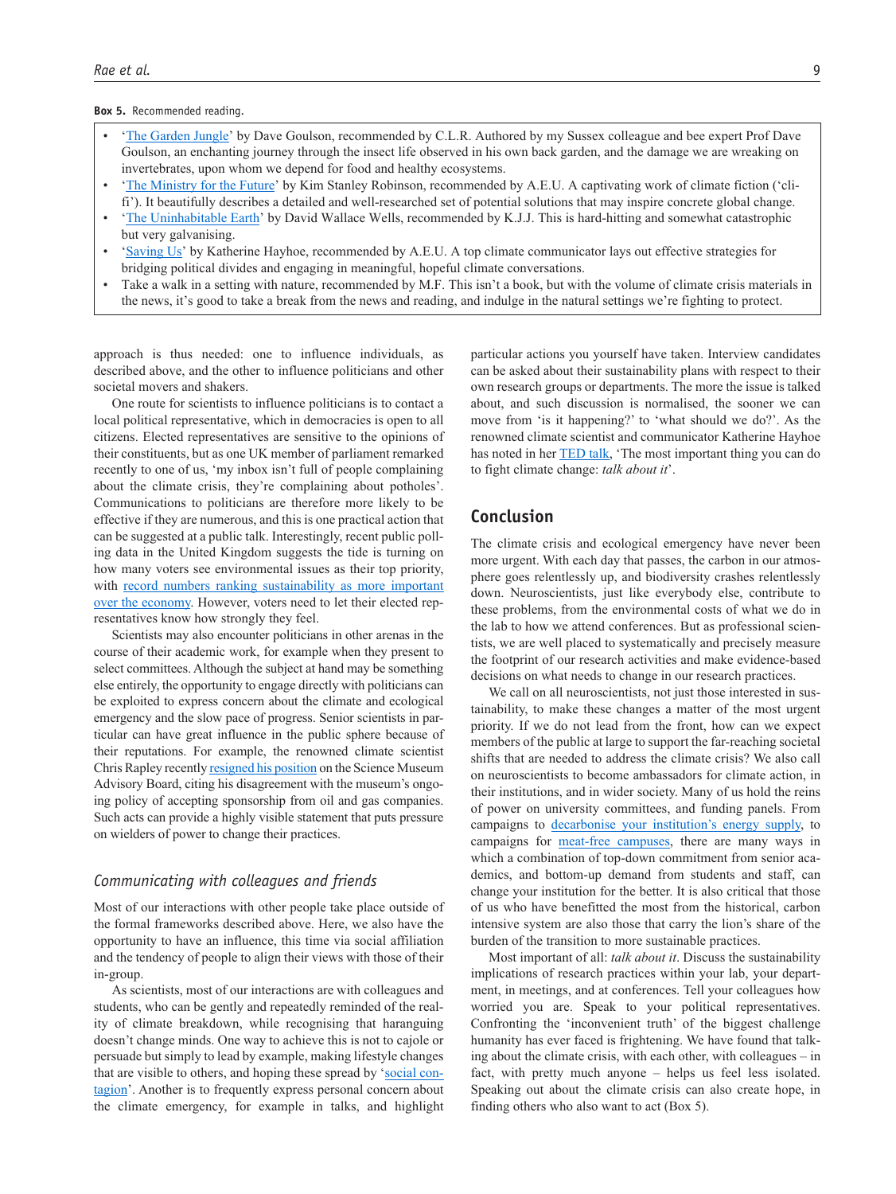#### **Box 5.** Recommended reading.

- '[The Garden Jungle](https://www.goodreads.com/book/show/42277872-the-garden-jungle)' by Dave Goulson, recommended by C.L.R. Authored by my Sussex colleague and bee expert Prof Dave Goulson, an enchanting journey through the insect life observed in his own back garden, and the damage we are wreaking on invertebrates, upon whom we depend for food and healthy ecosystems.
- '[The Ministry for the Future'](https://www.goodreads.com/book/show/50998056-the-ministry-for-the-future) by Kim Stanley Robinson, recommended by A.E.U. A captivating work of climate fiction ('clifi'). It beautifully describes a detailed and well-researched set of potential solutions that may inspire concrete global change.
- '[The Uninhabitable Earth'](https://www.goodreads.com/book/show/41552709-the-uninhabitable-earth) by David Wallace Wells, recommended by K.J.J. This is hard-hitting and somewhat catastrophic but very galvanising.
- '[Saving Us](https://www.simonandschuster.com/books/Saving-Us/Katharine-Hayhoe/9781982143831)' by Katherine Hayhoe, recommended by A.E.U. A top climate communicator lays out effective strategies for bridging political divides and engaging in meaningful, hopeful climate conversations.
- Take a walk in a setting with nature, recommended by M.F. This isn't a book, but with the volume of climate crisis materials in the news, it's good to take a break from the news and reading, and indulge in the natural settings we're fighting to protect.

approach is thus needed: one to influence individuals, as described above, and the other to influence politicians and other societal movers and shakers.

One route for scientists to influence politicians is to contact a local political representative, which in democracies is open to all citizens. Elected representatives are sensitive to the opinions of their constituents, but as one UK member of parliament remarked recently to one of us, 'my inbox isn't full of people complaining about the climate crisis, they're complaining about potholes'. Communications to politicians are therefore more likely to be effective if they are numerous, and this is one practical action that can be suggested at a public talk. Interestingly, recent public polling data in the United Kingdom suggests the tide is turning on how many voters see environmental issues as their top priority, with [record numbers ranking sustainability as more important](https://www.ipsos.com/ipsos-mori/en-uk/ipsos-mori-issues-index-november-2021)  [over the economy.](https://www.ipsos.com/ipsos-mori/en-uk/ipsos-mori-issues-index-november-2021) However, voters need to let their elected representatives know how strongly they feel.

Scientists may also encounter politicians in other arenas in the course of their academic work, for example when they present to select committees. Although the subject at hand may be something else entirely, the opportunity to engage directly with politicians can be exploited to express concern about the climate and ecological emergency and the slow pace of progress. Senior scientists in particular can have great influence in the public sphere because of their reputations. For example, the renowned climate scientist Chris Rapley recently [resigned his position](https://www.standard.co.uk/news/uk/science-museum-cop26-shell-extinction-rebellion-university-college-london-b958492.html) on the Science Museum Advisory Board, citing his disagreement with the museum's ongoing policy of accepting sponsorship from oil and gas companies. Such acts can provide a highly visible statement that puts pressure on wielders of power to change their practices.

#### *Communicating with colleagues and friends*

Most of our interactions with other people take place outside of the formal frameworks described above. Here, we also have the opportunity to have an influence, this time via social affiliation and the tendency of people to align their views with those of their in-group.

As scientists, most of our interactions are with colleagues and students, who can be gently and repeatedly reminded of the reality of climate breakdown, while recognising that haranguing doesn't change minds. One way to achieve this is not to cajole or persuade but simply to lead by example, making lifestyle changes that are visible to others, and hoping these spread by '[social con](https://dictionary.apa.org/social-contagion)[tagion'](https://dictionary.apa.org/social-contagion). Another is to frequently express personal concern about the climate emergency, for example in talks, and highlight

particular actions you yourself have taken. Interview candidates can be asked about their sustainability plans with respect to their own research groups or departments. The more the issue is talked about, and such discussion is normalised, the sooner we can move from 'is it happening?' to 'what should we do?'. As the renowned climate scientist and communicator Katherine Hayhoe has noted in her [TED talk](https://www.ted.com/talks/katharine_hayhoe_the_most_important_thing_you_can_do_to_fight_climate_change_talk_about_it?language=en), 'The most important thing you can do to fight climate change: *talk about it*'.

## **Conclusion**

The climate crisis and ecological emergency have never been more urgent. With each day that passes, the carbon in our atmosphere goes relentlessly up, and biodiversity crashes relentlessly down. Neuroscientists, just like everybody else, contribute to these problems, from the environmental costs of what we do in the lab to how we attend conferences. But as professional scientists, we are well placed to systematically and precisely measure the footprint of our research activities and make evidence-based decisions on what needs to change in our research practices.

We call on all neuroscientists, not just those interested in sustainability, to make these changes a matter of the most urgent priority. If we do not lead from the front, how can we expect members of the public at large to support the far-reaching societal shifts that are needed to address the climate crisis? We also call on neuroscientists to become ambassadors for climate action, in their institutions, and in wider society. Many of us hold the reins of power on university committees, and funding panels. From campaigns to [decarbonise your institution's energy supply](https://electrifyuc.org/), to campaigns for [meat-free campuses,](https://www.ucl.ac.uk/sustainable-development-goals/case-studies/2020/oct/meat-free-meetings-campus-benefit-health-and-environment) there are many ways in which a combination of top-down commitment from senior academics, and bottom-up demand from students and staff, can change your institution for the better. It is also critical that those of us who have benefitted the most from the historical, carbon intensive system are also those that carry the lion's share of the burden of the transition to more sustainable practices.

Most important of all: *talk about it*. Discuss the sustainability implications of research practices within your lab, your department, in meetings, and at conferences. Tell your colleagues how worried you are. Speak to your political representatives. Confronting the 'inconvenient truth' of the biggest challenge humanity has ever faced is frightening. We have found that talking about the climate crisis, with each other, with colleagues – in fact, with pretty much anyone – helps us feel less isolated. Speaking out about the climate crisis can also create hope, in finding others who also want to act (Box 5).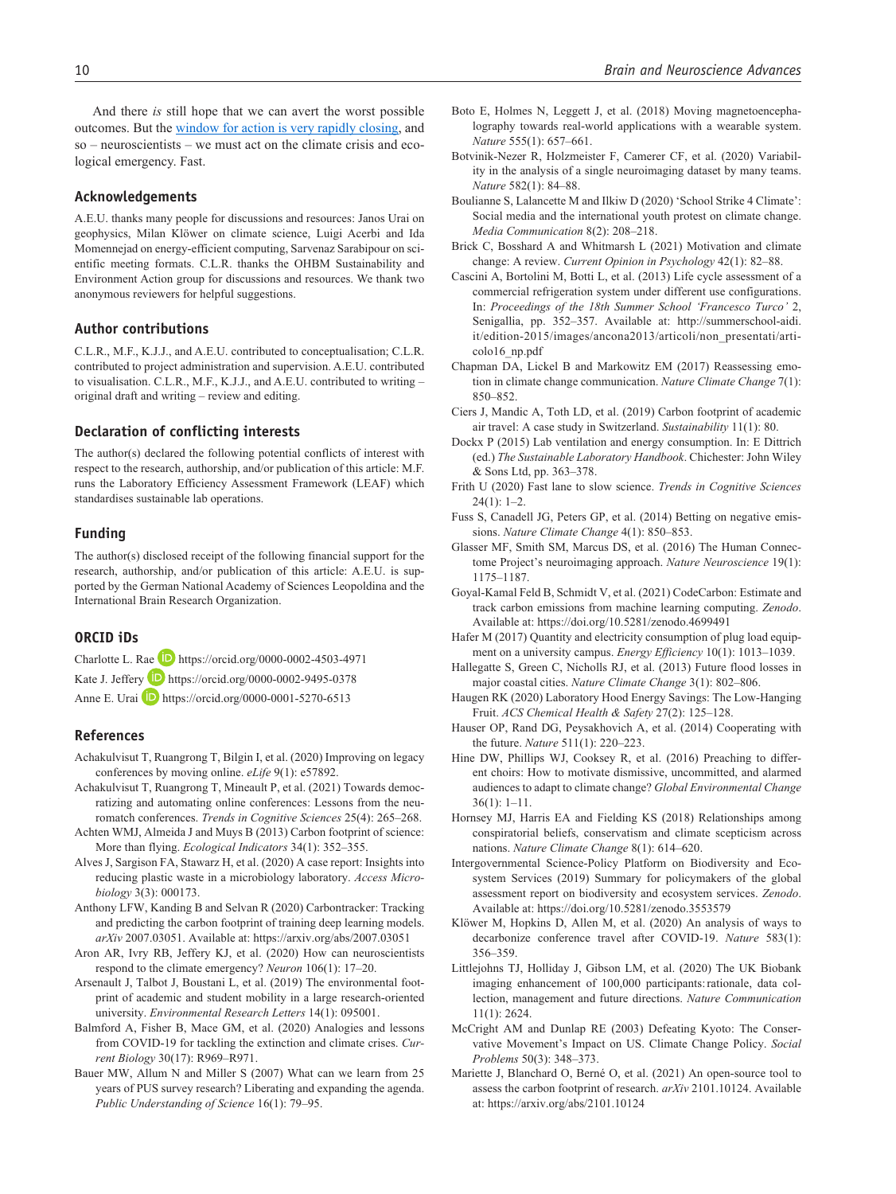And there *is* still hope that we can avert the worst possible outcomes. But the [window for action is very rapidly closing,](https://www.ipcc.ch/assessment-report/ar6/) and so – neuroscientists – we must act on the climate crisis and ecological emergency. Fast.

#### **Acknowledgements**

A.E.U. thanks many people for discussions and resources: Janos Urai on geophysics, Milan Klöwer on climate science, Luigi Acerbi and Ida Momennejad on energy-efficient computing, Sarvenaz Sarabipour on scientific meeting formats. C.L.R. thanks the OHBM Sustainability and Environment Action group for discussions and resources. We thank two anonymous reviewers for helpful suggestions.

#### **Author contributions**

C.L.R., M.F., K.J.J., and A.E.U. contributed to conceptualisation; C.L.R. contributed to project administration and supervision. A.E.U. contributed to visualisation. C.L.R., M.F., K.J.J., and A.E.U. contributed to writing – original draft and writing – review and editing.

#### **Declaration of conflicting interests**

The author(s) declared the following potential conflicts of interest with respect to the research, authorship, and/or publication of this article: M.F. runs the Laboratory Efficiency Assessment Framework (LEAF) which standardises sustainable lab operations.

#### **Funding**

The author(s) disclosed receipt of the following financial support for the research, authorship, and/or publication of this article: A.E.U. is supported by the German National Academy of Sciences Leopoldina and the International Brain Research Organization.

### **ORCID iDs**

Charlotte L. Rae D <https://orcid.org/0000-0002-4503-4971> Kate J. Jeffery **D** <https://orcid.org/0000-0002-9495-0378> Anne E. Urai **D** <https://orcid.org/0000-0001-5270-6513>

#### **References**

- Achakulvisut T, Ruangrong T, Bilgin I, et al. (2020) Improving on legacy conferences by moving online. *eLife* 9(1): e57892.
- Achakulvisut T, Ruangrong T, Mineault P, et al. (2021) Towards democratizing and automating online conferences: Lessons from the neuromatch conferences. *Trends in Cognitive Sciences* 25(4): 265–268.
- Achten WMJ, Almeida J and Muys B (2013) Carbon footprint of science: More than flying. *Ecological Indicators* 34(1): 352–355.
- Alves J, Sargison FA, Stawarz H, et al. (2020) A case report: Insights into reducing plastic waste in a microbiology laboratory. *Access Microbiology* 3(3): 000173.
- Anthony LFW, Kanding B and Selvan R (2020) Carbontracker: Tracking and predicting the carbon footprint of training deep learning models. *arXiv* 2007.03051. Available at:<https://arxiv.org/abs/2007.03051>
- Aron AR, Ivry RB, Jeffery KJ, et al. (2020) How can neuroscientists respond to the climate emergency? *Neuron* 106(1): 17–20.
- Arsenault J, Talbot J, Boustani L, et al. (2019) The environmental footprint of academic and student mobility in a large research-oriented university. *Environmental Research Letters* 14(1): 095001.
- Balmford A, Fisher B, Mace GM, et al. (2020) Analogies and lessons from COVID-19 for tackling the extinction and climate crises. *Current Biology* 30(17): R969–R971.
- Bauer MW, Allum N and Miller S (2007) What can we learn from 25 years of PUS survey research? Liberating and expanding the agenda. *Public Understanding of Science* 16(1): 79–95.
- Boto E, Holmes N, Leggett J, et al. (2018) Moving magnetoencephalography towards real-world applications with a wearable system. *Nature* 555(1): 657–661.
- Botvinik-Nezer R, Holzmeister F, Camerer CF, et al. (2020) Variability in the analysis of a single neuroimaging dataset by many teams. *Nature* 582(1): 84–88.
- Boulianne S, Lalancette M and Ilkiw D (2020) 'School Strike 4 Climate': Social media and the international youth protest on climate change. *Media Communication* 8(2): 208–218.
- Brick C, Bosshard A and Whitmarsh L (2021) Motivation and climate change: A review. *Current Opinion in Psychology* 42(1): 82–88.
- Cascini A, Bortolini M, Botti L, et al. (2013) Life cycle assessment of a commercial refrigeration system under different use configurations. In: *Proceedings of the 18th Summer School 'Francesco Turco'* 2, Senigallia, pp. 352–357. Available at: [http://summerschool-aidi.](http://summerschool-aidi.it/edition-2015/images/ancona2013/articoli/non_presentati/articolo16_np.pdf) [it/edition-2015/images/ancona2013/articoli/non\\_presentati/arti](http://summerschool-aidi.it/edition-2015/images/ancona2013/articoli/non_presentati/articolo16_np.pdf)[colo16\\_np.pdf](http://summerschool-aidi.it/edition-2015/images/ancona2013/articoli/non_presentati/articolo16_np.pdf)
- Chapman DA, Lickel B and Markowitz EM (2017) Reassessing emotion in climate change communication. *Nature Climate Change* 7(1): 850–852.
- Ciers J, Mandic A, Toth LD, et al. (2019) Carbon footprint of academic air travel: A case study in Switzerland. *Sustainability* 11(1): 80.
- Dockx P (2015) Lab ventilation and energy consumption. In: E Dittrich (ed.) *The Sustainable Laboratory Handbook*. Chichester: John Wiley & Sons Ltd, pp. 363–378.
- Frith U (2020) Fast lane to slow science. *Trends in Cognitive Sciences*  $24(1): 1-2.$
- Fuss S, Canadell JG, Peters GP, et al. (2014) Betting on negative emissions. *Nature Climate Change* 4(1): 850–853.
- Glasser MF, Smith SM, Marcus DS, et al. (2016) The Human Connectome Project's neuroimaging approach. *Nature Neuroscience* 19(1): 1175–1187.
- Goyal-Kamal Feld B, Schmidt V, et al. (2021) CodeCarbon: Estimate and track carbon emissions from machine learning computing. *Zenodo*. Available at:<https://doi.org/10.5281/zenodo.4699491>
- Hafer M (2017) Quantity and electricity consumption of plug load equipment on a university campus. *Energy Efficiency* 10(1): 1013–1039.
- Hallegatte S, Green C, Nicholls RJ, et al. (2013) Future flood losses in major coastal cities. *Nature Climate Change* 3(1): 802–806.
- Haugen RK (2020) Laboratory Hood Energy Savings: The Low-Hanging Fruit. *ACS Chemical Health & Safety* 27(2): 125–128.
- Hauser OP, Rand DG, Peysakhovich A, et al. (2014) Cooperating with the future. *Nature* 511(1): 220–223.
- Hine DW, Phillips WJ, Cooksey R, et al. (2016) Preaching to different choirs: How to motivate dismissive, uncommitted, and alarmed audiences to adapt to climate change? *Global Environmental Change* 36(1): 1–11.
- Hornsey MJ, Harris EA and Fielding KS (2018) Relationships among conspiratorial beliefs, conservatism and climate scepticism across nations. *Nature Climate Change* 8(1): 614–620.
- Intergovernmental Science-Policy Platform on Biodiversity and Ecosystem Services (2019) Summary for policymakers of the global assessment report on biodiversity and ecosystem services. *Zenodo*. Available at:<https://doi.org/10.5281/zenodo.3553579>
- Klöwer M, Hopkins D, Allen M, et al. (2020) An analysis of ways to decarbonize conference travel after COVID-19. *Nature* 583(1): 356–359.
- Littlejohns TJ, Holliday J, Gibson LM, et al. (2020) The UK Biobank imaging enhancement of 100,000 participants:rationale, data collection, management and future directions. *Nature Communication* 11(1): 2624.
- McCright AM and Dunlap RE (2003) Defeating Kyoto: The Conservative Movement's Impact on US. Climate Change Policy. *Social Problems* 50(3): 348–373.
- Mariette J, Blanchard O, Berné O, et al. (2021) An open-source tool to assess the carbon footprint of research. *arXiv* 2101.10124. Available at:<https://arxiv.org/abs/2101.10124>